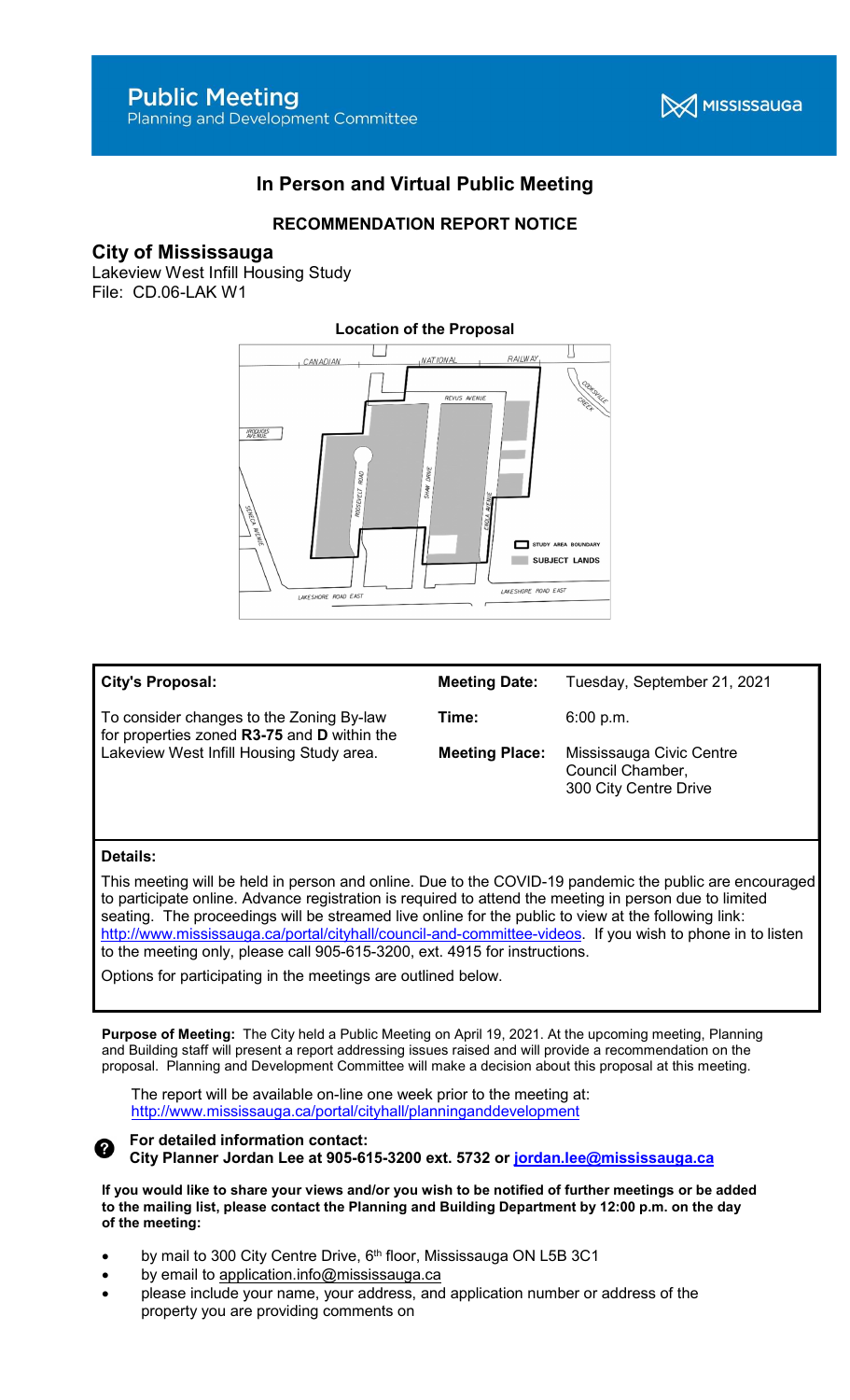

# In Person and Virtual Public Meeting

## RECOMMENDATION REPORT NOTICE

### City of Mississauga

Lakeview West Infill Housing Study File: CD.06-LAK W1



#### City's Proposal: To consider changes to the Zoning By-law for properties zoned R3-75 and D within the Lakeview West Infill Housing Study area. Meeting Date: Tuesday, September 21, 2021 **Time:** 6:00 p.m. Meeting Place: Mississauga Civic Centre Council Chamber, 300 City Centre Drive

#### Details:

This meeting will be held in person and online. Due to the COVID-19 pandemic the public are encouraged to participate online. Advance registration is required to attend the meeting in person due to limited seating. The proceedings will be streamed live online for the public to view at the following link: http://www.mississauga.ca/portal/cityhall/council-and-committee-videos. If you wish to phone in to listen to the meeting only, please call 905-615-3200, ext. 4915 for instructions.

Options for participating in the meetings are outlined below.

Purpose of Meeting: The City held a Public Meeting on April 19, 2021. At the upcoming meeting, Planning and Building staff will present a report addressing issues raised and will provide a recommendation on the proposal. Planning and Development Committee will make a decision about this proposal at this meeting.

The report will be available on-line one week prior to the meeting at: http://www.mississauga.ca/portal/cityhall/planninganddevelopment



For detailed information contact: City Planner Jordan Lee at 905-615-3200 ext. 5732 or jordan.lee@mississauga.ca

If you would like to share your views and/or you wish to be notified of further meetings or be added to the mailing list, please contact the Planning and Building Department by 12:00 p.m. on the day of the meeting:

- by mail to 300 City Centre Drive, 6<sup>th</sup> floor, Mississauga ON L5B 3C1
- by email to application.info@mississauga.ca
- please include your name, your address, and application number or address of the property you are providing comments on